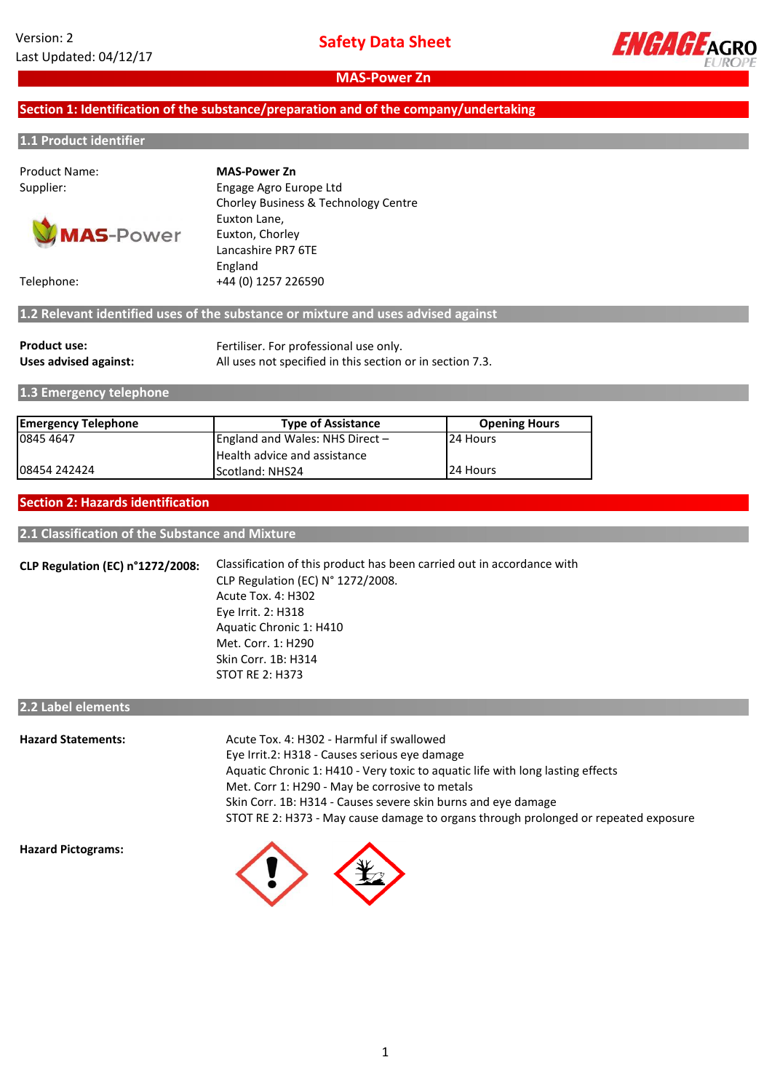

# **Section 1: Identification of the substance/preparation and of the company/undertaking**

### **1.1 Product identifier**

Product Name:



Supplier: Engage Agro Europe Ltd Chorley Business & Technology Centre Euxton Lane, Euxton, Chorley Lancashire PR7 6TE England Telephone: +44 (0) 1257 226590 **MAS-Power Zn**

**1.2 Relevant identified uses of the substance or mixture and uses advised against**

| <b>Product use:</b>   | Fertiliser. For professional use only.                    |
|-----------------------|-----------------------------------------------------------|
| Uses advised against: | All uses not specified in this section or in section 7.3. |

**1.3 Emergency telephone**

| <b>Emergency Telephone</b> | <b>Type of Assistance</b>         | <b>Opening Hours</b> |
|----------------------------|-----------------------------------|----------------------|
| 0845 4647                  | England and Wales: NHS Direct $-$ | 24 Hours             |
|                            | Health advice and assistance      |                      |
| 108454 242424              | <b>IScotland: NHS24</b>           | <b>24 Hours</b>      |

### **Section 2: Hazards identification**

**2.1 Classification of the Substance and Mixture**

**CLP Regulation (EC) n°1272/2008:** Aquatic Chronic 1: H410 Met. Corr. 1: H290 Skin Corr. 1B: H314 STOT RE 2: H373 Classification of this product has been carried out in accordance with CLP Regulation (EC) N° 1272/2008. Eye Irrit. 2: H318 Acute Tox. 4: H302

# **2.2 Label elements**

| <b>Hazard Statements:</b> | Acute Tox. 4: H302 - Harmful if swallowed                                           |
|---------------------------|-------------------------------------------------------------------------------------|
|                           | Eye Irrit.2: H318 - Causes serious eye damage                                       |
|                           | Aquatic Chronic 1: H410 - Very toxic to aquatic life with long lasting effects      |
|                           | Met. Corr 1: H290 - May be corrosive to metals                                      |
|                           | Skin Corr. 1B: H314 - Causes severe skin burns and eye damage                       |
|                           | STOT RE 2: H373 - May cause damage to organs through prolonged or repeated exposure |
|                           |                                                                                     |

**Hazard Pictograms:**

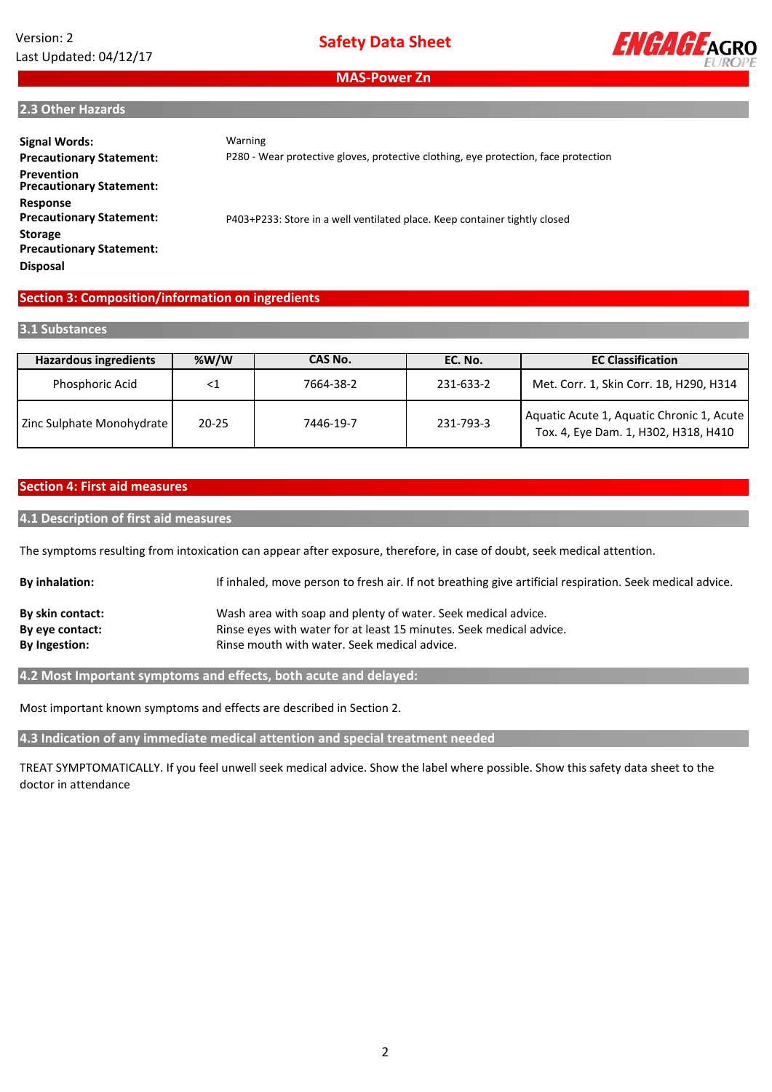# Version: 2 Last Updated: 04/12/17



**MAS-Power Zn**

### **2.3 Other Hazards**

| <b>Signal Words:</b><br><b>Precautionary Statement:</b><br><b>Prevention</b><br><b>Precautionary Statement:</b>     | Warning<br>P280 - Wear protective gloves, protective clothing, eye protection, face protection |
|---------------------------------------------------------------------------------------------------------------------|------------------------------------------------------------------------------------------------|
| Response<br><b>Precautionary Statement:</b><br><b>Storage</b><br><b>Precautionary Statement:</b><br><b>Disposal</b> | P403+P233: Store in a well ventilated place. Keep container tightly closed                     |

# **Section 3: Composition/information on ingredients**

### **3.1 Substances**

| <b>Hazardous ingredients</b> | % $W/W$   | CAS No.   | EC. No.   | <b>EC Classification</b>                                                          |
|------------------------------|-----------|-----------|-----------|-----------------------------------------------------------------------------------|
| Phosphoric Acid              | $<$ 1     | 7664-38-2 | 231-633-2 | Met. Corr. 1, Skin Corr. 1B, H290, H314                                           |
| Zinc Sulphate Monohydrate    | $20 - 25$ | 7446-19-7 | 231-793-3 | Aquatic Acute 1, Aquatic Chronic 1, Acute<br>Tox. 4, Eye Dam. 1, H302, H318, H410 |

## **Section 4: First aid measures**

### **4.1 Description of first aid measures**

The symptoms resulting from intoxication can appear after exposure, therefore, in case of doubt, seek medical attention.

| <b>By inhalation:</b> | If inhaled, move person to fresh air. If not breathing give artificial respiration. Seek medical advice. |
|-----------------------|----------------------------------------------------------------------------------------------------------|
| By skin contact:      | Wash area with soap and plenty of water. Seek medical advice.                                            |
| By eye contact:       | Rinse eyes with water for at least 15 minutes. Seek medical advice.                                      |
| By Ingestion:         | Rinse mouth with water. Seek medical advice.                                                             |

# **4.2 Most Important symptoms and effects, both acute and delayed:**

Most important known symptoms and effects are described in Section 2.

**4.3 Indication of any immediate medical attention and special treatment needed**

TREAT SYMPTOMATICALLY. If you feel unwell seek medical advice. Show the label where possible. Show this safety data sheet to the doctor in attendance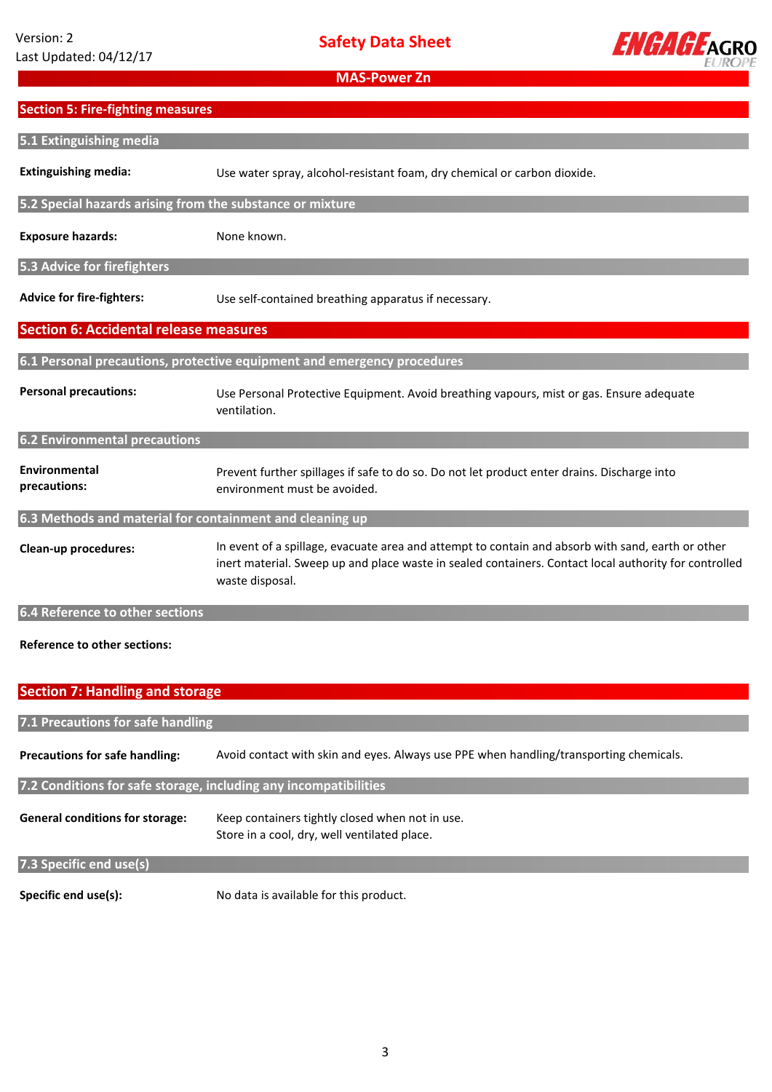**Safety Data Sheet**



**MAS-Power Zn**

| <b>Section 5: Fire-fighting measures</b>                  |                                                                                                                                                                                                                               |
|-----------------------------------------------------------|-------------------------------------------------------------------------------------------------------------------------------------------------------------------------------------------------------------------------------|
| 5.1 Extinguishing media                                   |                                                                                                                                                                                                                               |
| <b>Extinguishing media:</b>                               | Use water spray, alcohol-resistant foam, dry chemical or carbon dioxide.                                                                                                                                                      |
| 5.2 Special hazards arising from the substance or mixture |                                                                                                                                                                                                                               |
| <b>Exposure hazards:</b>                                  | None known.                                                                                                                                                                                                                   |
| 5.3 Advice for firefighters                               |                                                                                                                                                                                                                               |
| <b>Advice for fire-fighters:</b>                          | Use self-contained breathing apparatus if necessary.                                                                                                                                                                          |
| <b>Section 6: Accidental release measures</b>             |                                                                                                                                                                                                                               |
|                                                           | 6.1 Personal precautions, protective equipment and emergency procedures                                                                                                                                                       |
| <b>Personal precautions:</b>                              | Use Personal Protective Equipment. Avoid breathing vapours, mist or gas. Ensure adequate<br>ventilation.                                                                                                                      |
| <b>6.2 Environmental precautions</b>                      |                                                                                                                                                                                                                               |
| Environmental<br>precautions:                             | Prevent further spillages if safe to do so. Do not let product enter drains. Discharge into<br>environment must be avoided.                                                                                                   |
| 6.3 Methods and material for containment and cleaning up  |                                                                                                                                                                                                                               |
| Clean-up procedures:                                      | In event of a spillage, evacuate area and attempt to contain and absorb with sand, earth or other<br>inert material. Sweep up and place waste in sealed containers. Contact local authority for controlled<br>waste disposal. |
| 6.4 Reference to other sections                           |                                                                                                                                                                                                                               |

# **Reference to other sections:**

| <b>Section 7: Handling and storage</b>                           |                                                                                                 |  |  |  |
|------------------------------------------------------------------|-------------------------------------------------------------------------------------------------|--|--|--|
| 7.1 Precautions for safe handling                                |                                                                                                 |  |  |  |
| <b>Precautions for safe handling:</b>                            | Avoid contact with skin and eyes. Always use PPE when handling/transporting chemicals.          |  |  |  |
| 7.2 Conditions for safe storage, including any incompatibilities |                                                                                                 |  |  |  |
| <b>General conditions for storage:</b>                           | Keep containers tightly closed when not in use.<br>Store in a cool, dry, well ventilated place. |  |  |  |
| 7.3 Specific end use(s)                                          |                                                                                                 |  |  |  |
| Specific end use(s):                                             | No data is available for this product.                                                          |  |  |  |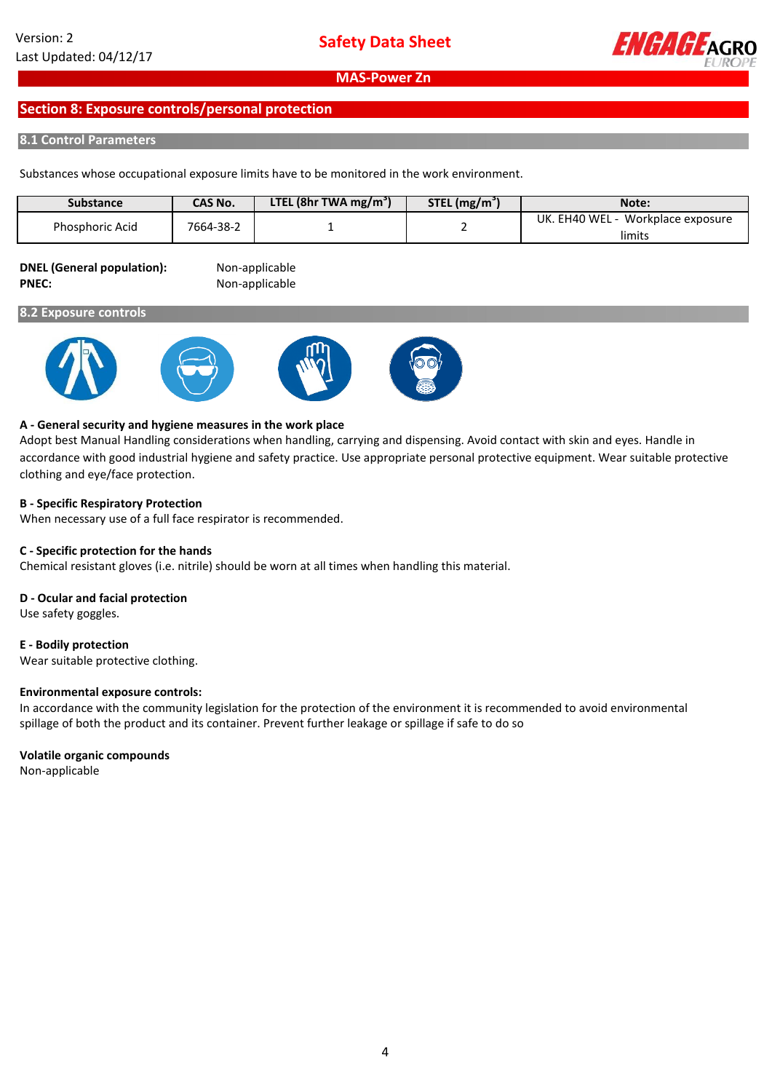

# **Section 8: Exposure controls/personal protection**

## **8.1 Control Parameters**

Substances whose occupational exposure limits have to be monitored in the work environment.

| <b>Substance</b> | <b>CAS No.</b> | LTEL (8hr TWA mg/m <sup>3</sup> ) | $STEL$ (mg/m <sup>3</sup> | Note:                              |
|------------------|----------------|-----------------------------------|---------------------------|------------------------------------|
| Phosphoric Acid  | 7664-38-2      |                                   |                           | Workplace exposure<br>UK. EH40 WEL |
|                  |                |                                   |                           | limits                             |

#### **DNEL (General population):** Non-applicable PNEC: Non-applicable

### **8.2 Exposure controls**









## **A - General security and hygiene measures in the work place**

Adopt best Manual Handling considerations when handling, carrying and dispensing. Avoid contact with skin and eyes. Handle in accordance with good industrial hygiene and safety practice. Use appropriate personal protective equipment. Wear suitable protective clothing and eye/face protection.

## **B - Specific Respiratory Protection**

When necessary use of a full face respirator is recommended.

### **C - Specific protection for the hands**

Chemical resistant gloves (i.e. nitrile) should be worn at all times when handling this material.

### **D - Ocular and facial protection**

Use safety goggles.

# **E - Bodily protection**

Wear suitable protective clothing.

### **Environmental exposure controls:**

In accordance with the community legislation for the protection of the environment it is recommended to avoid environmental spillage of both the product and its container. Prevent further leakage or spillage if safe to do so

### **Volatile organic compounds**

Non-applicable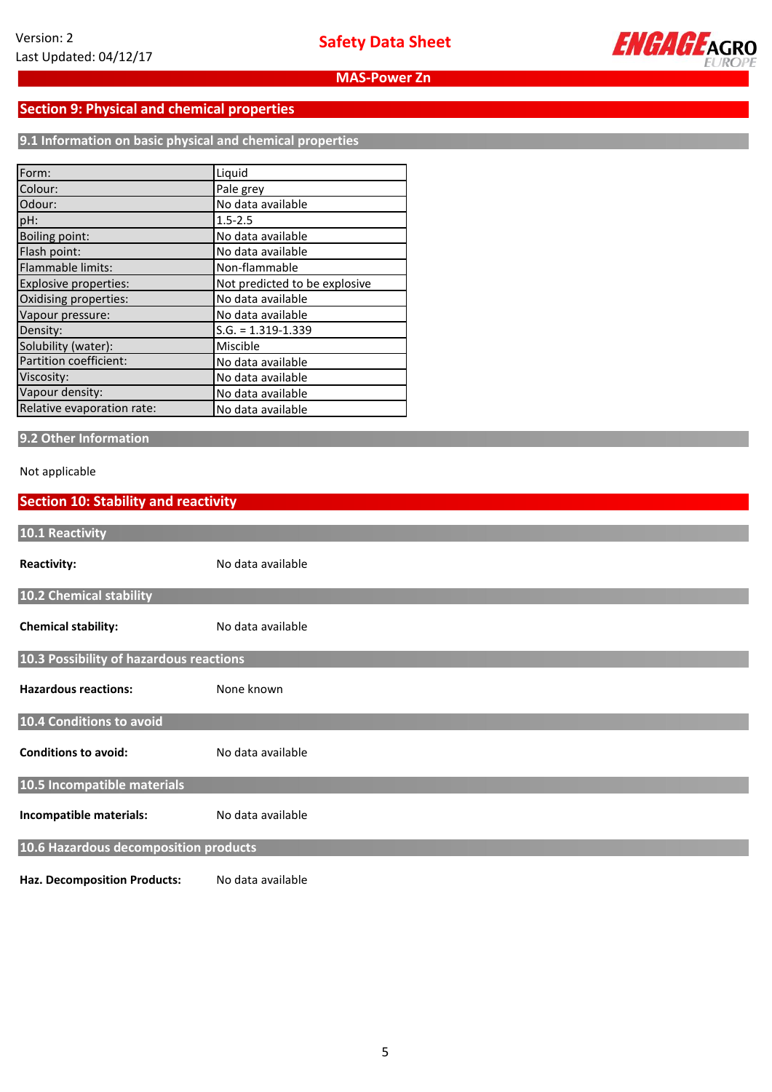

# **Section 9: Physical and chemical properties**

**9.1 Information on basic physical and chemical properties**

| Form:                      | Liquid                        |
|----------------------------|-------------------------------|
| Colour:                    | Pale grey                     |
| Odour:                     | No data available             |
| pH:                        | $1.5 - 2.5$                   |
| <b>Boiling point:</b>      | No data available             |
| Flash point:               | No data available             |
| Flammable limits:          | Non-flammable                 |
| Explosive properties:      | Not predicted to be explosive |
| Oxidising properties:      | No data available             |
| Vapour pressure:           | No data available             |
| Density:                   | $S.G. = 1.319 - 1.339$        |
| Solubility (water):        | Miscible                      |
| Partition coefficient:     | No data available             |
| Viscosity:                 | No data available             |
| Vapour density:            | No data available             |
| Relative evaporation rate: | No data available             |

# **9.2 Other Information**

## Not applicable

# **Section 10: Stability and reactivity**

| 10.1 Reactivity                         |                   |
|-----------------------------------------|-------------------|
| <b>Reactivity:</b>                      | No data available |
| 10.2 Chemical stability                 |                   |
| <b>Chemical stability:</b>              | No data available |
| 10.3 Possibility of hazardous reactions |                   |
| <b>Hazardous reactions:</b>             | None known        |
| 10.4 Conditions to avoid                |                   |
| <b>Conditions to avoid:</b>             | No data available |
| 10.5 Incompatible materials             |                   |
| Incompatible materials:                 | No data available |
| 10.6 Hazardous decomposition products   |                   |
| <b>Haz. Decomposition Products:</b>     | No data available |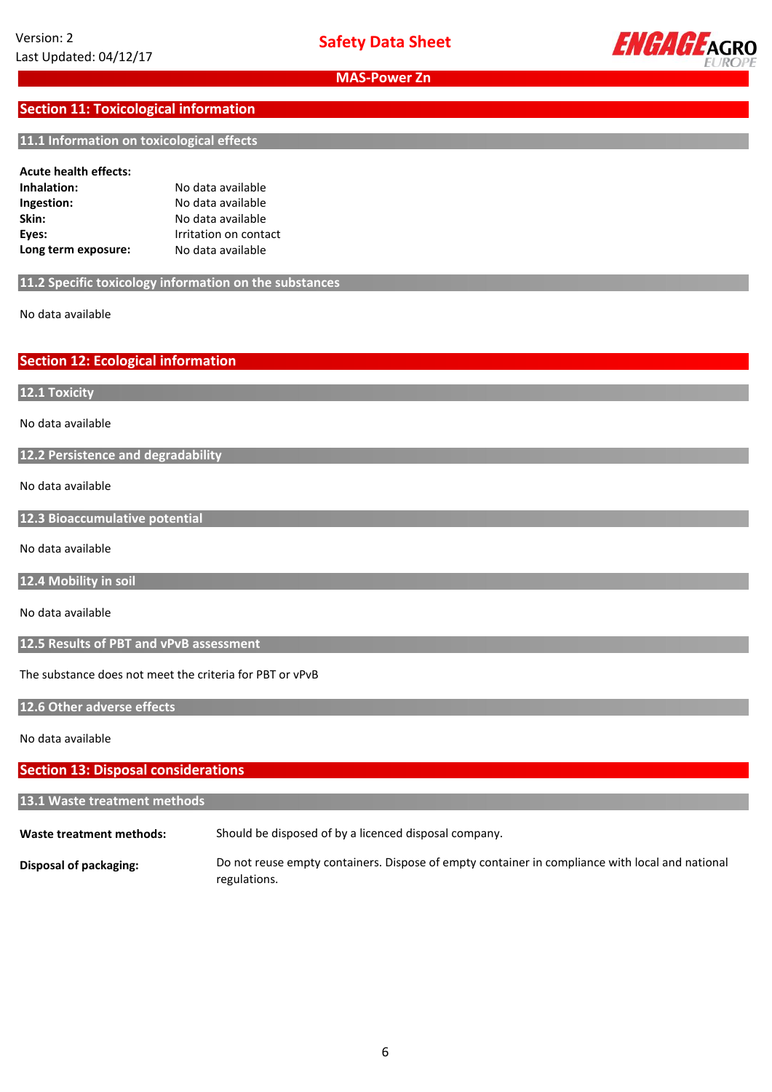

# **Section 11: Toxicological information**

### **11.1 Information on toxicological effects**

#### **Acute health effects:**

| Inhalation:         | No data available     |
|---------------------|-----------------------|
| Ingestion:          | No data available     |
| Skin:               | No data available     |
| Eyes:               | Irritation on contact |
| Long term exposure: | No data available     |

**11.2 Specific toxicology information on the substances**

No data available **available**

**Section 12: Ecological information**

**12.1 Toxicity**

No data available

**12.2 Persistence and degradability**

No data available

**12.3 Bioaccumulative potential**

No data available

**12.4 Mobility in soil**

No data available

**12.5 Results of PBT and vPvB assessment**

The substance does not meet the criteria for PBT or vPvB

**12.6 Other adverse effects**

No data available

## **Section 13: Disposal considerations**

# **13.1 Waste treatment methods**

**Waste treatment methods:** Should be disposed of by a licenced disposal company.

**Disposal of packaging:** Do not reuse empty containers. Dispose of empty container in compliance with local and national regulations.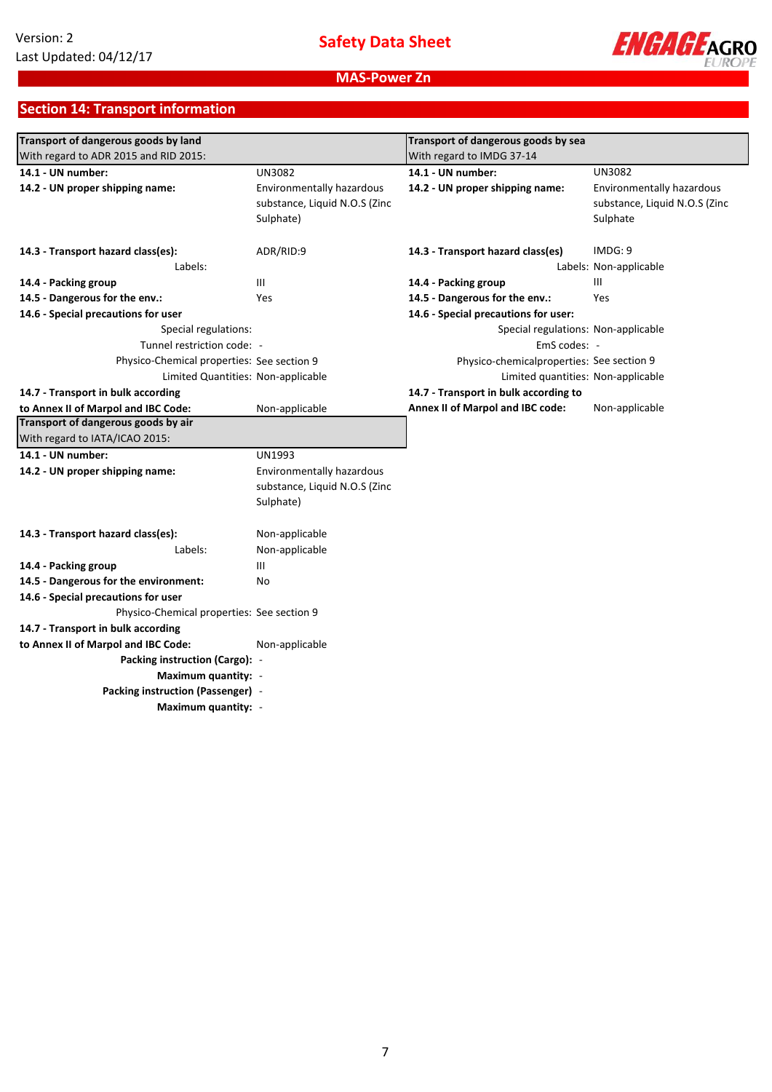

# **Section 14: Transport information**

| Transport of dangerous goods by land       |                               | Transport of dangerous goods by sea        |                               |
|--------------------------------------------|-------------------------------|--------------------------------------------|-------------------------------|
| With regard to ADR 2015 and RID 2015:      |                               | With regard to IMDG 37-14                  |                               |
| 14.1 - UN number:                          | <b>UN3082</b>                 | 14.1 - UN number:                          | <b>UN3082</b>                 |
| 14.2 - UN proper shipping name:            | Environmentally hazardous     | 14.2 - UN proper shipping name:            | Environmentally hazardous     |
|                                            | substance, Liquid N.O.S (Zinc |                                            | substance, Liquid N.O.S (Zinc |
|                                            | Sulphate)                     |                                            | Sulphate                      |
| 14.3 - Transport hazard class(es):         | ADR/RID:9                     | 14.3 - Transport hazard class(es)          | IMDG: 9                       |
| Labels:                                    |                               |                                            | Labels: Non-applicable        |
| 14.4 - Packing group                       | Ш                             | 14.4 - Packing group                       | III                           |
| 14.5 - Dangerous for the env.:             | <b>Yes</b>                    | 14.5 - Dangerous for the env.:             | Yes                           |
| 14.6 - Special precautions for user        |                               | 14.6 - Special precautions for user:       |                               |
| Special regulations:                       |                               | Special regulations: Non-applicable        |                               |
| Tunnel restriction code: -                 |                               | EmS codes: -                               |                               |
| Physico-Chemical properties: See section 9 |                               | Physico-chemical properties: See section 9 |                               |
| Limited Quantities: Non-applicable         |                               | Limited quantities: Non-applicable         |                               |
| 14.7 - Transport in bulk according         |                               | 14.7 - Transport in bulk according to      |                               |
| to Annex II of Marpol and IBC Code:        | Non-applicable                | Annex II of Marpol and IBC code:           | Non-applicable                |
| Transport of dangerous goods by air        |                               |                                            |                               |
| With regard to IATA/ICAO 2015:             |                               |                                            |                               |
| 14.1 - UN number:                          | <b>UN1993</b>                 |                                            |                               |
| 14.2 - UN proper shipping name:            | Environmentally hazardous     |                                            |                               |
|                                            | substance, Liquid N.O.S (Zinc |                                            |                               |
|                                            | Sulphate)                     |                                            |                               |
| 14.3 - Transport hazard class(es):         | Non-applicable                |                                            |                               |
| Labels:                                    | Non-applicable                |                                            |                               |
| 14.4 - Packing group                       | Ш                             |                                            |                               |
| 14.5 - Dangerous for the environment:      | No                            |                                            |                               |
| 14.6 - Special precautions for user        |                               |                                            |                               |
| Physico-Chemical properties: See section 9 |                               |                                            |                               |
| 14.7 - Transport in bulk according         |                               |                                            |                               |
| to Annex II of Marpol and IBC Code:        | Non-applicable                |                                            |                               |
| Packing instruction (Cargo): -             |                               |                                            |                               |
| Maximum quantity: -                        |                               |                                            |                               |
| Packing instruction (Passenger) -          |                               |                                            |                               |
| Maximum quantity: -                        |                               |                                            |                               |
|                                            |                               |                                            |                               |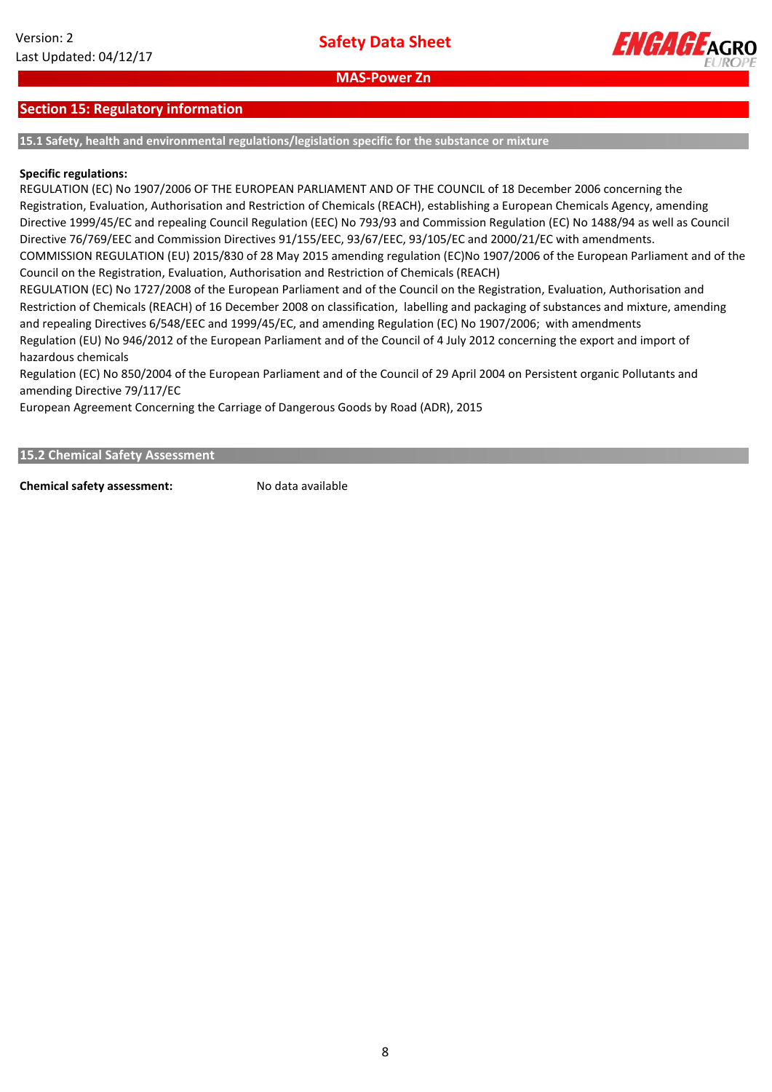

# **Section 15: Regulatory information**

**15.1 Safety, health and environmental regulations/legislation specific for the substance or mixture**

### **Specific regulations:**

REGULATION (EC) No 1907/2006 OF THE EUROPEAN PARLIAMENT AND OF THE COUNCIL of 18 December 2006 concerning the Registration, Evaluation, Authorisation and Restriction of Chemicals (REACH), establishing a European Chemicals Agency, amending Directive 1999/45/EC and repealing Council Regulation (EEC) No 793/93 and Commission Regulation (EC) No 1488/94 as well as Council Directive 76/769/EEC and Commission Directives 91/155/EEC, 93/67/EEC, 93/105/EC and 2000/21/EC with amendments. COMMISSION REGULATION (EU) 2015/830 of 28 May 2015 amending regulation (EC)No 1907/2006 of the European Parliament and of the Council on the Registration, Evaluation, Authorisation and Restriction of Chemicals (REACH) REGULATION (EC) No 1727/2008 of the European Parliament and of the Council on the Registration, Evaluation, Authorisation and

Restriction of Chemicals (REACH) of 16 December 2008 on classification, labelling and packaging of substances and mixture, amending and repealing Directives 6/548/EEC and 1999/45/EC, and amending Regulation (EC) No 1907/2006; with amendments Regulation (EU) No 946/2012 of the European Parliament and of the Council of 4 July 2012 concerning the export and import of hazardous chemicals

Regulation (EC) No 850/2004 of the European Parliament and of the Council of 29 April 2004 on Persistent organic Pollutants and amending Directive 79/117/EC

European Agreement Concerning the Carriage of Dangerous Goods by Road (ADR), 2015

#### **15.2 Chemical Safety Assessment**

**Chemical safety assessment:** No data available